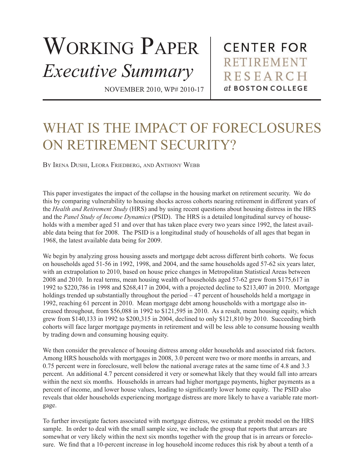## WORKING PAPER *Executive Summary*

**CENTER FOR RETIREMENT RESEARCH** at BOSTON COLLEGE

NOVEMBER 2010, WP# 2010-17

## WHAT IS THE IMPACT OF FORECLOSURES ON RETIREMENT SECURITY?

BY IRENA DUSHI, LEORA FRIEDBERG, AND ANTHONY WEBB

This paper investigates the impact of the collapse in the housing market on retirement security. We do this by comparing vulnerability to housing shocks across cohorts nearing retirement in different years of the *Health and Retirement Study* (HRS) and by using recent questions about housing distress in the HRS and the *Panel Study of Income Dynamics* (PSID). The HRS is a detailed longitudinal survey of households with a member aged 51 and over that has taken place every two years since 1992, the latest available data being that for 2008. The PSID is a longitudinal study of households of all ages that began in 1968, the latest available data being for 2009.

We begin by analyzing gross housing assets and mortgage debt across different birth cohorts. We focus on households aged 51-56 in 1992, 1998, and 2004, and the same households aged 57-62 six years later, with an extrapolation to 2010, based on house price changes in Metropolitan Statistical Areas between 2008 and 2010. In real terms, mean housing wealth of households aged 57-62 grew from \$175,617 in 1992 to \$220,786 in 1998 and \$268,417 in 2004, with a projected decline to \$213,407 in 2010. Mortgage holdings trended up substantially throughout the period – 47 percent of households held a mortgage in 1992, reaching 61 percent in 2010. Mean mortgage debt among households with a mortgage also increased throughout, from \$56,088 in 1992 to \$121,595 in 2010. As a result, mean housing equity, which grew from \$140,133 in 1992 to \$200,315 in 2004, declined to only \$121,810 by 2010. Succeeding birth cohorts will face larger mortgage payments in retirement and will be less able to consume housing wealth by trading down and consuming housing equity.

We then consider the prevalence of housing distress among older households and associated risk factors. Among HRS households with mortgages in 2008, 3.0 percent were two or more months in arrears, and 0.75 percent were in foreclosure, well below the national average rates at the same time of 4.8 and 3.3 percent. An additional 4.7 percent considered it very or somewhat likely that they would fall into arrears within the next six months. Households in arrears had higher mortgage payments, higher payments as a percent of income, and lower house values, leading to significantly lower home equity. The PSID also reveals that older households experiencing mortgage distress are more likely to have a variable rate mortgage.

To further investigate factors associated with mortgage distress, we estimate a probit model on the HRS sample. In order to deal with the small sample size, we include the group that reports that arrears are somewhat or very likely within the next six months together with the group that is in arrears or foreclosure. We find that a 10-percent increase in log household income reduces this risk by about a tenth of a